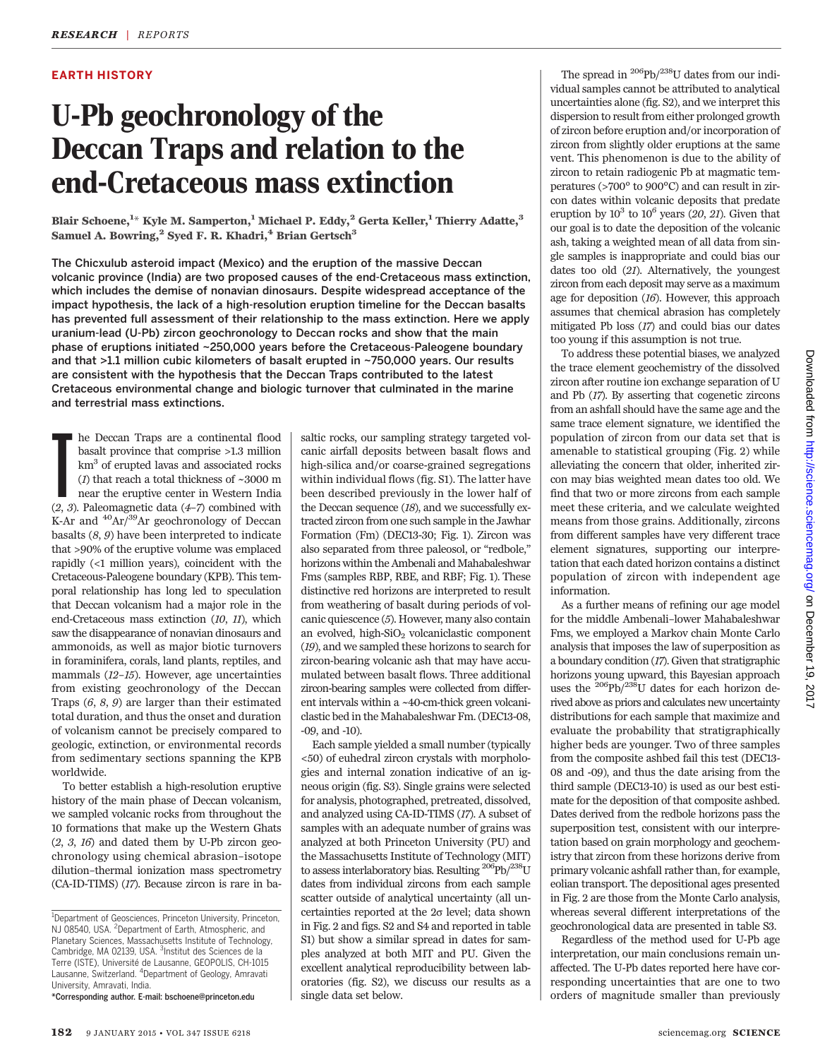### EARTH HISTORY

# U-Pb geochronology of the Deccan Traps and relation to the end-Cretaceous mass extinction

Blair Schoene, $^{\rm 1\ast}$  Kyle M. Samperton, $^{\rm 1}$  Michael P. Eddy, $^{\rm 2}$  Gerta Keller, $^{\rm 1}$  Thierry Adatte, $^{\rm 3}$ Samuel A. Bowring,<sup>2</sup> Syed F. R. Khadri,<sup>4</sup> Brian Gertsch<sup>3</sup>

The Chicxulub asteroid impact (Mexico) and the eruption of the massive Deccan volcanic province (India) are two proposed causes of the end-Cretaceous mass extinction, which includes the demise of nonavian dinosaurs. Despite widespread acceptance of the impact hypothesis, the lack of a high-resolution eruption timeline for the Deccan basalts has prevented full assessment of their relationship to the mass extinction. Here we apply uranium-lead (U-Pb) zircon geochronology to Deccan rocks and show that the main phase of eruptions initiated ~250,000 years before the Cretaceous-Paleogene boundary and that >1.1 million cubic kilometers of basalt erupted in ~750,000 years. Our results are consistent with the hypothesis that the Deccan Traps contributed to the latest Cretaceous environmental change and biologic turnover that culminated in the marine and terrestrial mass extinctions.

**F** he Deccan Traps are a continental flood basalt province that comprise >1.3 million km<sup>3</sup> of erupted lavas and associated rocks (*1*) that reach a total thickness of  $\sim$ 3000 m near the eruptive center in Western India he Deccan Traps are a continental flood basalt province that comprise >1.3 million km3 of erupted lavas and associated rocks (1) that reach a total thickness of  $\sim\!3000$  m near the eruptive center in Western India K-Ar and  $^{40}Ar/^{39}Ar$  geochronology of Deccan basalts  $(8, 9)$  have been interpreted to indicate that >90% of the eruptive volume was emplaced rapidly (<1 million years), coincident with the Cretaceous-Paleogene boundary (KPB). This temporal relationship has long led to speculation that Deccan volcanism had a major role in the end-Cretaceous mass extinction (10, 11), which saw the disappearance of nonavian dinosaurs and ammonoids, as well as major biotic turnovers in foraminifera, corals, land plants, reptiles, and mammals (12–15). However, age uncertainties from existing geochronology of the Deccan Traps (6, 8, 9) are larger than their estimated total duration, and thus the onset and duration of volcanism cannot be precisely compared to geologic, extinction, or environmental records from sedimentary sections spanning the KPB worldwide.

To better establish a high-resolution eruptive history of the main phase of Deccan volcanism, we sampled volcanic rocks from throughout the 10 formations that make up the Western Ghats  $(2, 3, 16)$  and dated them by U-Pb zircon geochronology using chemical abrasion–isotope dilution–thermal ionization mass spectrometry (CA-ID-TIMS) (17). Because zircon is rare in ba-

\*Corresponding author. E-mail: bschoene@princeton.edu

saltic rocks, our sampling strategy targeted volcanic airfall deposits between basalt flows and high-silica and/or coarse-grained segregations within individual flows (fig. S1). The latter have been described previously in the lower half of the Deccan sequence (18), and we successfully extracted zircon from one such sample in the Jawhar Formation (Fm) (DEC13-30; Fig. 1). Zircon was also separated from three paleosol, or "redbole," horizons within the Ambenali and Mahabaleshwar Fms (samples RBP, RBE, and RBF; Fig. 1). These distinctive red horizons are interpreted to result from weathering of basalt during periods of volcanic quiescence (5). However, many also contain an evolved, high- $SiO<sub>2</sub>$  volcaniclastic component (19), and we sampled these horizons to search for zircon-bearing volcanic ash that may have accumulated between basalt flows. Three additional zircon-bearing samples were collected from different intervals within a ~40-cm-thick green volcaniclastic bed in the Mahabaleshwar Fm. (DEC13-08, -09, and -10).

Each sample yielded a small number (typically <50) of euhedral zircon crystals with morphologies and internal zonation indicative of an igneous origin (fig. S3). Single grains were selected for analysis, photographed, pretreated, dissolved, and analyzed using CA-ID-TIMS (17). A subset of samples with an adequate number of grains was analyzed at both Princeton University (PU) and the Massachusetts Institute of Technology (MIT) to assess interlaboratory bias. Resulting  $^{206}\mathrm{Pb} / ^{238}\mathrm{U}$ dates from individual zircons from each sample scatter outside of analytical uncertainty (all uncertainties reported at the  $2\sigma$  level; data shown in Fig. 2 and figs. S2 and S4 and reported in table S1) but show a similar spread in dates for samples analyzed at both MIT and PU. Given the excellent analytical reproducibility between laboratories (fig. S2), we discuss our results as a single data set below.

The spread in  $^{206}Pb/^{238}U$  dates from our individual samples cannot be attributed to analytical uncertainties alone (fig. S2), and we interpret this dispersion to result from either prolonged growth of zircon before eruption and/or incorporation of zircon from slightly older eruptions at the same vent. This phenomenon is due to the ability of zircon to retain radiogenic Pb at magmatic temperatures (>700° to 900°C) and can result in zircon dates within volcanic deposits that predate eruption by  $10^3$  to  $10^6$  years (20, 21). Given that our goal is to date the deposition of the volcanic ash, taking a weighted mean of all data from single samples is inappropriate and could bias our dates too old (21). Alternatively, the youngest zircon from each deposit may serve as a maximum age for deposition (16). However, this approach assumes that chemical abrasion has completely mitigated Pb loss (17) and could bias our dates too young if this assumption is not true.

To address these potential biases, we analyzed the trace element geochemistry of the dissolved zircon after routine ion exchange separation of U and Pb (17). By asserting that cogenetic zircons from an ashfall should have the same age and the same trace element signature, we identified the population of zircon from our data set that is amenable to statistical grouping (Fig. 2) while alleviating the concern that older, inherited zircon may bias weighted mean dates too old. We find that two or more zircons from each sample meet these criteria, and we calculate weighted means from those grains. Additionally, zircons from different samples have very different trace element signatures, supporting our interpretation that each dated horizon contains a distinct population of zircon with independent age information.

As a further means of refining our age model for the middle Ambenali–lower Mahabaleshwar Fms, we employed a Markov chain Monte Carlo analysis that imposes the law of superposition as a boundary condition (17). Given that stratigraphic horizons young upward, this Bayesian approach uses the 206Pb/238U dates for each horizon derived above as priors and calculates new uncertainty distributions for each sample that maximize and evaluate the probability that stratigraphically higher beds are younger. Two of three samples from the composite ashbed fail this test (DEC13- 08 and -09), and thus the date arising from the third sample (DEC13-10) is used as our best estimate for the deposition of that composite ashbed. Dates derived from the redbole horizons pass the superposition test, consistent with our interpretation based on grain morphology and geochemistry that zircon from these horizons derive from primary volcanic ashfall rather than, for example, eolian transport. The depositional ages presented in Fig. 2 are those from the Monte Carlo analysis, whereas several different interpretations of the geochronological data are presented in table S3.

Regardless of the method used for U-Pb age interpretation, our main conclusions remain unaffected. The U-Pb dates reported here have corresponding uncertainties that are one to two orders of magnitude smaller than previously

<sup>&</sup>lt;sup>1</sup>Department of Geosciences, Princeton University, Princeton, NJ 08540, USA. <sup>2</sup>Department of Earth, Atmospheric, and Planetary Sciences, Massachusetts Institute of Technology, Cambridge, MA 02139, USA. <sup>3</sup>Institut des Sciences de la Terre (ISTE), Université de Lausanne, GEOPOLIS, CH-1015 Lausanne, Switzerland. <sup>4</sup> Department of Geology, Amravati University, Amravati, India.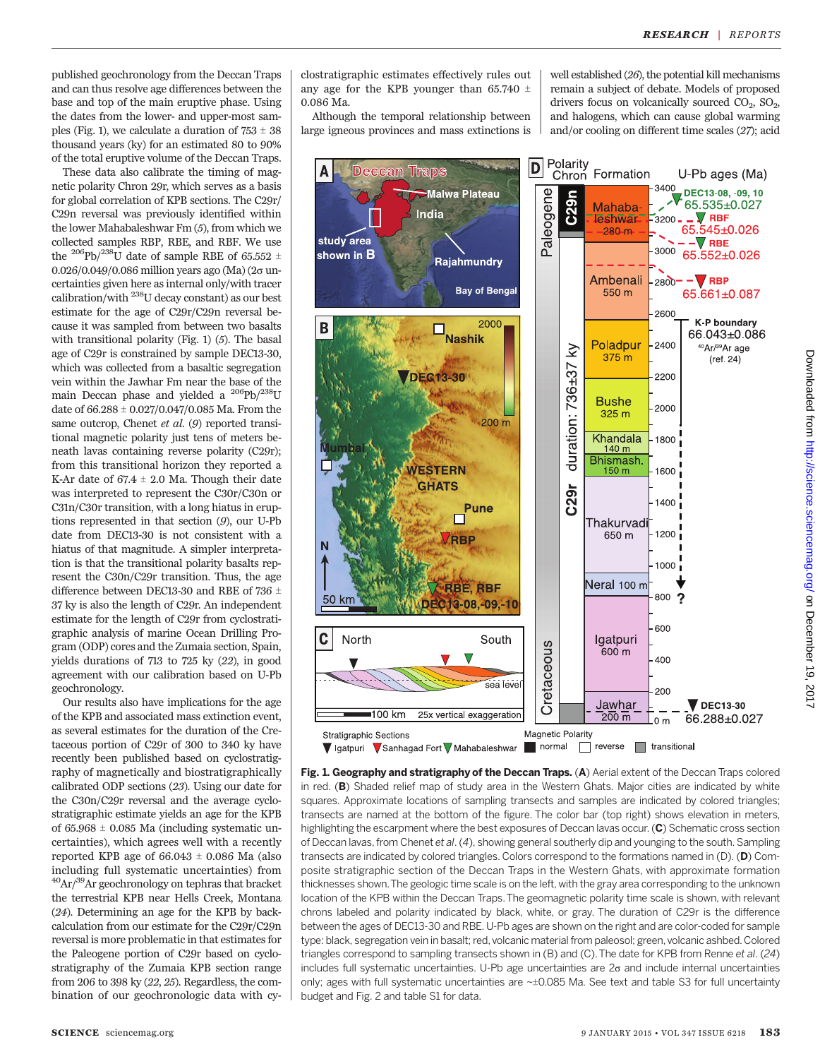published geochronology from the Deccan Traps and can thus resolve age differences between the base and top of the main eruptive phase. Using the dates from the lower- and upper-most samples (Fig. 1), we calculate a duration of  $753 \pm 38$ thousand years (ky) for an estimated 80 to 90% of the total eruptive volume of the Deccan Traps.

These data also calibrate the timing of magnetic polarity Chron 29r, which serves as a basis for global correlation of KPB sections. The C29r/ C29n reversal was previously identified within the lower Mahabaleshwar Fm (5), from which we collected samples RBP, RBE, and RBF. We use the <sup>206</sup>Pb/<sup>238</sup>U date of sample RBE of 65.552  $\pm$ 0.026/0.049/0.086 million years ago (Ma) ( $2\sigma$  uncertainties given here as internal only/with tracer calibration/with 238U decay constant) as our best estimate for the age of C29r/C29n reversal because it was sampled from between two basalts with transitional polarity (Fig. 1) (5). The basal age of C29r is constrained by sample DEC13-30, which was collected from a basaltic segregation vein within the Jawhar Fm near the base of the main Deccan phase and yielded a <sup>206</sup>Pb/<sup>238</sup>U date of  $66.288 \pm 0.027/0.047/0.085$  Ma. From the same outcrop, Chenet et al. (9) reported transitional magnetic polarity just tens of meters beneath lavas containing reverse polarity (C29r); from this transitional horizon they reported a K-Ar date of  $67.4 \pm 2.0$  Ma. Though their date was interpreted to represent the C30r/C30n or C31n/C30r transition, with a long hiatus in eruptions represented in that section (9), our U-Pb date from DEC13-30 is not consistent with a hiatus of that magnitude. A simpler interpretation is that the transitional polarity basalts represent the C30n/C29r transition. Thus, the age difference between DEC13-30 and RBE of 736  $\pm$ 37 ky is also the length of C29r. An independent estimate for the length of C29r from cyclostratigraphic analysis of marine Ocean Drilling Program (ODP) cores and the Zumaia section, Spain, yields durations of 713 to 725 ky (22), in good agreement with our calibration based on U-Pb geochronology.

Our results also have implications for the age of the KPB and associated mass extinction event, as several estimates for the duration of the Cretaceous portion of C29r of 300 to 340 ky have recently been published based on cyclostratigraphy of magnetically and biostratigraphically calibrated ODP sections (23). Using our date for the C30n/C29r reversal and the average cyclostratigraphic estimate yields an age for the KPB of  $65.968 \pm 0.085$  Ma (including systematic uncertainties), which agrees well with a recently reported KPB age of  $66.043 \pm 0.086$  Ma (also including full systematic uncertainties) from  $^{40}$ Ar/ $^{39}$ Ar geochronology on tephras that bracket the terrestrial KPB near Hells Creek, Montana (24). Determining an age for the KPB by backcalculation from our estimate for the C29r/C29n reversal is more problematic in that estimates for the Paleogene portion of C29r based on cyclostratigraphy of the Zumaia KPB section range from 206 to 398 ky (22, 25). Regardless, the combination of our geochronologic data with cy-

clostratigraphic estimates effectively rules out any age for the KPB younger than 65.740  $\pm$ 0.086 Ma.

Although the temporal relationship between large igneous provinces and mass extinctions is well established (26), the potential kill mechanisms remain a subject of debate. Models of proposed drivers focus on volcanically sourced  $CO<sub>2</sub>$ ,  $SO<sub>2</sub>$ , and halogens, which can cause global warming and/or cooling on different time scales (27); acid



Fig. 1. Geography and stratigraphy of the Deccan Traps. (A) Aerial extent of the Deccan Traps colored in red. (B) Shaded relief map of study area in the Western Ghats. Major cities are indicated by white squares. Approximate locations of sampling transects and samples are indicated by colored triangles; transects are named at the bottom of the figure. The color bar (top right) shows elevation in meters, highlighting the escarpment where the best exposures of Deccan lavas occur. (C) Schematic cross section of Deccan lavas, from Chenet et al. (4), showing general southerly dip and younging to the south. Sampling transects are indicated by colored triangles. Colors correspond to the formations named in (D). (D) Composite stratigraphic section of the Deccan Traps in the Western Ghats, with approximate formation thicknesses shown.The geologic time scale is on the left, with the gray area corresponding to the unknown location of the KPB within the Deccan Traps.The geomagnetic polarity time scale is shown, with relevant chrons labeled and polarity indicated by black, white, or gray. The duration of C29r is the difference between the ages of DEC13-30 and RBE. U-Pb ages are shown on the right and are color-coded for sample type: black, segregation vein in basalt; red, volcanic material from paleosol; green, volcanic ashbed. Colored triangles correspond to sampling transects shown in (B) and (C).The date for KPB from Renne et al. (24) includes full systematic uncertainties. U-Pb age uncertainties are  $2\sigma$  and include internal uncertainties only; ages with full systematic uncertainties are  $\sim\pm 0.085$  Ma. See text and table S3 for full uncertainty budget and Fig. 2 and table S1 for data.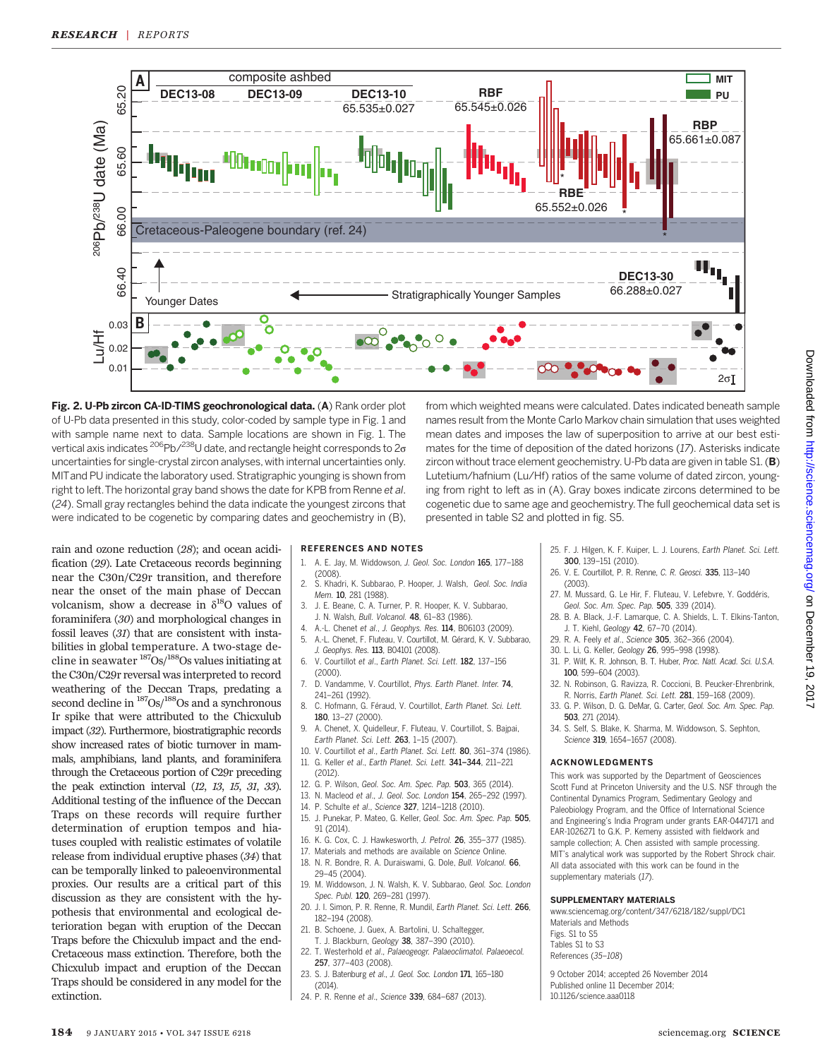

Fig. 2. U-Pb zircon CA-ID-TIMS geochronological data. (A) Rank order plot of U-Pb data presented in this study, color-coded by sample type in Fig. 1 and with sample name next to data. Sample locations are shown in Fig. 1. The vertical axis indicates  $^{206}$ Pb/ $^{238}$ U date, and rectangle height corresponds to  $2\sigma$ uncertainties for single-crystal zircon analyses, with internal uncertainties only. MITand PU indicate the laboratory used. Stratigraphic younging is shown from right to left. The horizontal gray band shows the date for KPB from Renne et al. (24). Small gray rectangles behind the data indicate the youngest zircons that were indicated to be cogenetic by comparing dates and geochemistry in (B),

from which weighted means were calculated. Dates indicated beneath sample names result from the Monte Carlo Markov chain simulation that uses weighted mean dates and imposes the law of superposition to arrive at our best estimates for the time of deposition of the dated horizons (17). Asterisks indicate zircon without trace element geochemistry. U-Pb data are given in table S1.  $(B)$ Lutetium/hafnium (Lu/Hf) ratios of the same volume of dated zircon, younging from right to left as in (A). Gray boxes indicate zircons determined to be cogenetic due to same age and geochemistry.The full geochemical data set is presented in table S2 and plotted in fig. S5.

rain and ozone reduction (28); and ocean acidification (29). Late Cretaceous records beginning near the C30n/C29r transition, and therefore near the onset of the main phase of Deccan volcanism, show a decrease in  $\delta^{18}O$  values of foraminifera (30) and morphological changes in fossil leaves (31) that are consistent with instabilities in global temperature. A two-stage decline in seawater  $\frac{187}{\text{Os}}$ / $\frac{188}{\text{Os}}$  values initiating at the C30n/C29r reversal was interpreted to record weathering of the Deccan Traps, predating a second decline in  $\frac{187}{OS}$ / $\frac{188}{OS}$  and a synchronous Ir spike that were attributed to the Chicxulub impact (32). Furthermore, biostratigraphic records show increased rates of biotic turnover in mammals, amphibians, land plants, and foraminifera through the Cretaceous portion of C29r preceding the peak extinction interval (12, 13, 15, 31, 33). Additional testing of the influence of the Deccan Traps on these records will require further determination of eruption tempos and hiatuses coupled with realistic estimates of volatile release from individual eruptive phases (34) that can be temporally linked to paleoenvironmental proxies. Our results are a critical part of this discussion as they are consistent with the hypothesis that environmental and ecological deterioration began with eruption of the Deccan Traps before the Chicxulub impact and the end-Cretaceous mass extinction. Therefore, both the Chicxulub impact and eruption of the Deccan Traps should be considered in any model for the extinction.

#### REFERENCES AND NOTES

- 1. A. E. Jay, M. Widdowson, J. Geol. Soc. London 165, 177–188 (2008).
- 2. S. Khadri, K. Subbarao, P. Hooper, J. Walsh, Geol. Soc. India Mem. 10, 281 (1988).
- 3. J. E. Beane, C. A. Turner, P. R. Hooper, K. V. Subbarao, J. N. Walsh, Bull. Volcanol. 48, 61–83 (1986).
- 4. A.-L. Chenet et al., J. Geophys. Res. 114, B06103 (2009). 5. A.-L. Chenet, F. Fluteau, V. Courtillot, M. Gérard, K. V. Subbarao,
- J. Geophys. Res. 113, B04101 (2008). 6. V. Courtillot et al., Earth Planet. Sci. Lett. 182, 137–156 (2000).
- 7. D. Vandamme, V. Courtillot, Phys. Earth Planet. Inter. 74, 241–261 (1992).
- 8. C. Hofmann, G. Féraud, V. Courtillot, Earth Planet. Sci. Lett. 180, 13–27 (2000).
- 9. A. Chenet, X. Quidelleur, F. Fluteau, V. Courtillot, S. Bajpai, Earth Planet. Sci. Lett. 263, 1–15 (2007).
- 10. V. Courtillot et al., Earth Planet. Sci. Lett. 80, 361–374 (1986). 11. G. Keller et al., Earth Planet. Sci. Lett. 341*–*344, 211–221
- (2012).
- 12. G. P. Wilson, Geol. Soc. Am. Spec. Pap. 503, 365 (2014).
- 13. N. Macleod et al., J. Geol. Soc. London 154, 265–292 (1997).
- 14. P. Schulte et al., Science 327, 1214–1218 (2010).
- 15. J. Punekar, P. Mateo, G. Keller, Geol. Soc. Am. Spec. Pap. 505, 91 (2014).
- 16. K. G. Cox, C. J. Hawkesworth, J. Petrol. 26, 355–377 (1985).
- 17. Materials and methods are available on Science Online. 18. N. R. Bondre, R. A. Duraiswami, G. Dole, Bull. Volcanol. 66,
- 29–45 (2004).
- 19. M. Widdowson, J. N. Walsh, K. V. Subbarao, Geol. Soc. London Spec. Publ. 120, 269-281 (1997).
- 20. J. I. Simon, P. R. Renne, R. Mundil, Earth Planet. Sci. Lett. 266, 182–194 (2008).
- 21. B. Schoene, J. Guex, A. Bartolini, U. Schaltegger, T. J. Blackburn, Geology 38, 387–390 (2010).
- 22. T. Westerhold et al., Palaeogeogr. Palaeoclimatol. Palaeoecol. 257, 377–403 (2008).
- 23. S. J. Batenburg et al., J. Geol. Soc. London 171, 165–180  $(2014)$
- 24. P. R. Renne et al., Science 339, 684–687 (2013).

25. F. J. Hilgen, K. F. Kuiper, L. J. Lourens, Earth Planet. Sci. Lett. 300, 139–151 (2010).

- 26. V. E. Courtillot, P. R. Renne, C. R. Geosci. 335, 113–140 (2003).
- 27. M. Mussard, G. Le Hir, F. Fluteau, V. Lefebvre, Y. Goddéris, Geol. Soc. Am. Spec. Pap. 505, 339 (2014).
- 28. B. A. Black, J.-F. Lamarque, C. A. Shields, L. T. Elkins-Tanton, J. T. Kiehl, Geology 42, 67–70 (2014).
- 29. R. A. Feely et al., Science 305, 362–366 (2004).
- 30. L. Li, G. Keller, Geology 26, 995–998 (1998).
- 31. P. Wilf, K. R. Johnson, B. T. Huber, Proc. Natl. Acad. Sci. U.S.A. 100, 599–604 (2003).
- 32. N. Robinson, G. Ravizza, R. Coccioni, B. Peucker-Ehrenbrink, R. Norris, Earth Planet. Sci. Lett. 281, 159–168 (2009).
- 33. G. P. Wilson, D. G. DeMar, G. Carter, Geol. Soc. Am. Spec. Pap. 503, 271 (2014).
- 34. S. Self, S. Blake, K. Sharma, M. Widdowson, S. Sephton, Science 319, 1654-1657 (2008).

#### ACKNOWLEDGMENTS

This work was supported by the Department of Geosciences Scott Fund at Princeton University and the U.S. NSF through the Continental Dynamics Program, Sedimentary Geology and Paleobiology Program, and the Office of International Science and Engineering's India Program under grants EAR-0447171 and EAR-1026271 to G.K. P. Kemeny assisted with fieldwork and sample collection; A. Chen assisted with sample processing. MIT's analytical work was supported by the Robert Shrock chair. All data associated with this work can be found in the supplementary materials (17).

#### SUPPLEMENTARY MATERIALS

www.sciencemag.org/content/347/6218/182/suppl/DC1 Materials and Methods Figs. S1 to S5 Tables S1 to S3 References (35–108)

9 October 2014; accepted 26 November 2014 Published online 11 December 2014; 10.1126/science.aaa0118